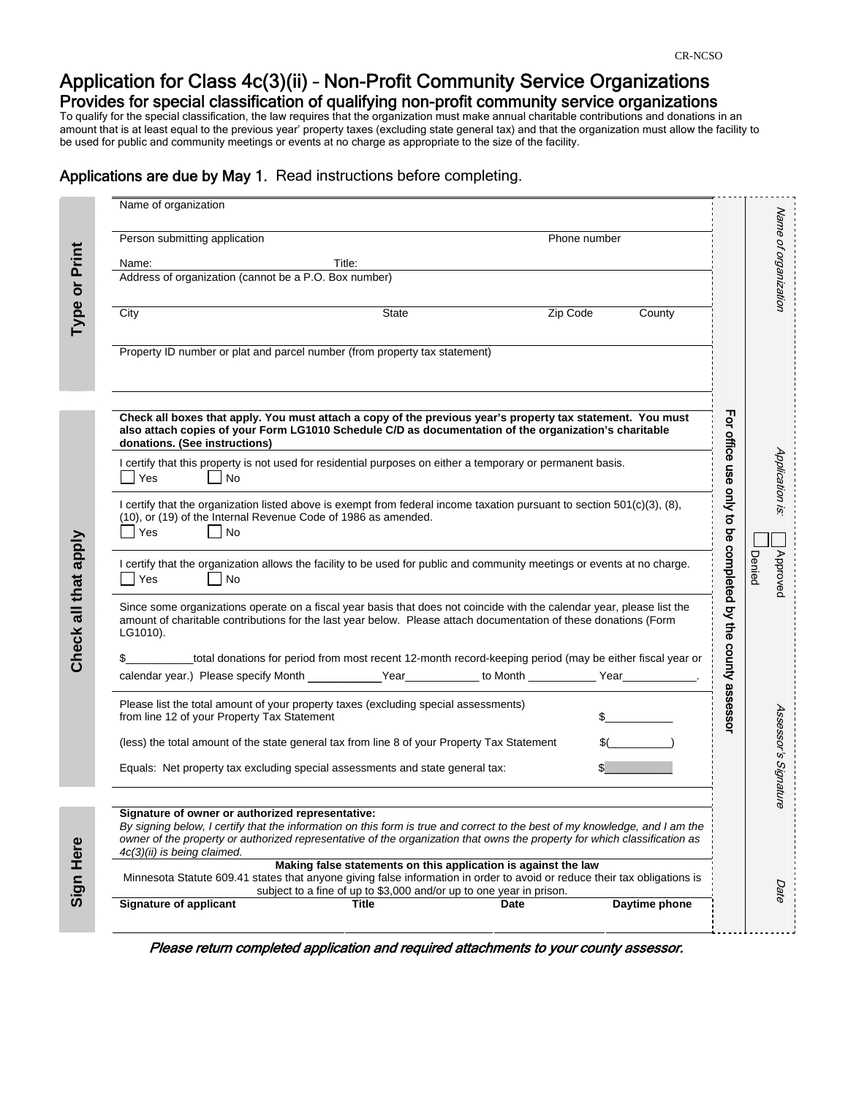# Application for Class 4c(3)(ii) – Non-Profit Community Service Organizations Provides for special classification of qualifying non-profit community service organizations

To qualify for the special classification, the law requires that the organization must make annual charitable contributions and donations in an amount that is at least equal to the previous year' property taxes (excluding state general tax) and that the organization must allow the facility to be used for public and community meetings or events at no charge as appropriate to the size of the facility.

## Applications are due by May 1. Read instructions before completing.

|                      | Name of organization                                                                                                                                                                                                                                                                                                                        |                                                            |                      |
|----------------------|---------------------------------------------------------------------------------------------------------------------------------------------------------------------------------------------------------------------------------------------------------------------------------------------------------------------------------------------|------------------------------------------------------------|----------------------|
|                      | Person submitting application<br>Phone number                                                                                                                                                                                                                                                                                               |                                                            | Name of organization |
| Print                | Title:<br>Name:                                                                                                                                                                                                                                                                                                                             |                                                            |                      |
| Type or              | Address of organization (cannot be a P.O. Box number)                                                                                                                                                                                                                                                                                       |                                                            |                      |
|                      | City<br><b>State</b><br>Zip Code<br>County                                                                                                                                                                                                                                                                                                  |                                                            |                      |
|                      | Property ID number or plat and parcel number (from property tax statement)                                                                                                                                                                                                                                                                  |                                                            |                      |
|                      |                                                                                                                                                                                                                                                                                                                                             |                                                            |                      |
| Check all that apply | Check all boxes that apply. You must attach a copy of the previous year's property tax statement. You must<br>also attach copies of your Form LG1010 Schedule C/D as documentation of the organization's charitable<br>donations. (See instructions)                                                                                        |                                                            |                      |
|                      | I certify that this property is not used for residential purposes on either a temporary or permanent basis.<br>Yes<br>No                                                                                                                                                                                                                    |                                                            | Application is:      |
|                      | I certify that the organization listed above is exempt from federal income taxation pursuant to section 501(c)(3), (8),<br>(10), or (19) of the Internal Revenue Code of 1986 as amended.<br>Yes<br>No                                                                                                                                      |                                                            |                      |
|                      |                                                                                                                                                                                                                                                                                                                                             |                                                            |                      |
|                      | I certify that the organization allows the facility to be used for public and community meetings or events at no charge.<br>Yes<br>No                                                                                                                                                                                                       |                                                            | Approved<br>Denied   |
|                      | Since some organizations operate on a fiscal year basis that does not coincide with the calendar year, please list the<br>amount of charitable contributions for the last year below. Please attach documentation of these donations (Form<br>LG1010).                                                                                      | For office use only to be completed by the county assessor |                      |
|                      | total donations for period from most recent 12-month record-keeping period (may be either fiscal year or                                                                                                                                                                                                                                    |                                                            |                      |
|                      | calendar year.) Please specify Month _____________Year____________ to Month _____________Year____________.                                                                                                                                                                                                                                  |                                                            |                      |
|                      | Please list the total amount of your property taxes (excluding special assessments)<br>from line 12 of your Property Tax Statement                                                                                                                                                                                                          |                                                            |                      |
|                      | (less) the total amount of the state general tax from line 8 of your Property Tax Statement                                                                                                                                                                                                                                                 |                                                            |                      |
|                      | Equals: Net property tax excluding special assessments and state general tax:                                                                                                                                                                                                                                                               |                                                            | Assessor's Signature |
| Sign Here            |                                                                                                                                                                                                                                                                                                                                             |                                                            |                      |
|                      | Signature of owner or authorized representative:<br>By signing below, I certify that the information on this form is true and correct to the best of my knowledge, and I am the<br>owner of the property or authorized representative of the organization that owns the property for which classification as<br>4c(3)(ii) is being claimed. |                                                            |                      |
|                      | Making false statements on this application is against the law<br>Minnesota Statute 609.41 states that anyone giving false information in order to avoid or reduce their tax obligations is<br>subject to a fine of up to \$3,000 and/or up to one year in prison.                                                                          |                                                            | Date                 |
|                      | <b>Signature of applicant</b><br>Daytime phone<br>Title<br>Date                                                                                                                                                                                                                                                                             |                                                            |                      |

Please return completed application and required attachments to your county assessor.